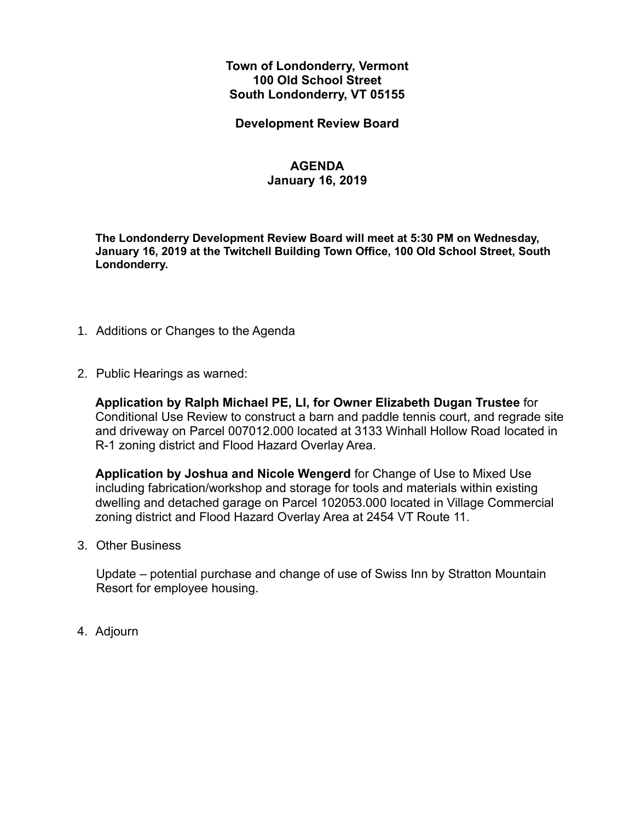### **Town of Londonderry, Vermont 100 Old School Street South Londonderry, VT 05155**

**Development Review Board**

### **AGENDA**

#### **January 16, 2019**

**The Londonderry Development Review Board will meet at 5:30 PM on Wednesday, January 16, 2019 at the Twitchell Building Town Office, 100 Old School Street, South Londonderry.** 

- 1. Additions or Changes to the Agenda
- 2. Public Hearings as warned:

**Application by Ralph Michael PE, LI, for Owner Elizabeth Dugan Trustee** for Conditional Use Review to construct a barn and paddle tennis court, and regrade site and driveway on Parcel 007012.000 located at 3133 Winhall Hollow Road located in R-1 zoning district and Flood Hazard Overlay Area.

**Application by Joshua and Nicole Wengerd** for Change of Use to Mixed Use including fabrication/workshop and storage for tools and materials within existing dwelling and detached garage on Parcel 102053.000 located in Village Commercial zoning district and Flood Hazard Overlay Area at 2454 VT Route 11.

3. Other Business

Update – potential purchase and change of use of Swiss Inn by Stratton Mountain Resort for employee housing.

4. Adjourn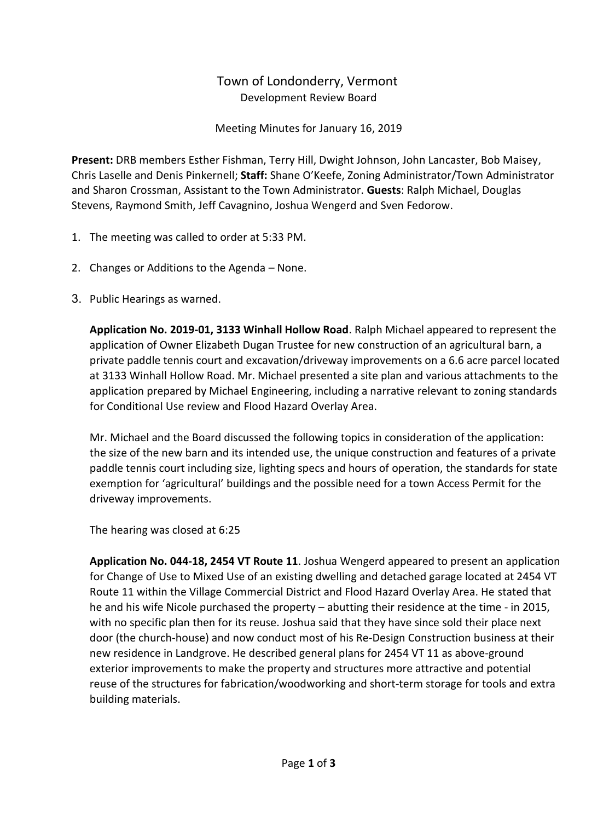## Town of Londonderry, Vermont Development Review Board

Meeting Minutes for January 16, 2019

**Present:** DRB members Esther Fishman, Terry Hill, Dwight Johnson, John Lancaster, Bob Maisey, Chris Laselle and Denis Pinkernell; **Staff:** Shane O'Keefe, Zoning Administrator/Town Administrator and Sharon Crossman, Assistant to the Town Administrator. **Guests**: Ralph Michael, Douglas Stevens, Raymond Smith, Jeff Cavagnino, Joshua Wengerd and Sven Fedorow.

- 1. The meeting was called to order at 5:33 PM.
- 2. Changes or Additions to the Agenda None.
- 3. Public Hearings as warned.

**Application No. 2019-01, 3133 Winhall Hollow Road**. Ralph Michael appeared to represent the application of Owner Elizabeth Dugan Trustee for new construction of an agricultural barn, a private paddle tennis court and excavation/driveway improvements on a 6.6 acre parcel located at 3133 Winhall Hollow Road. Mr. Michael presented a site plan and various attachments to the application prepared by Michael Engineering, including a narrative relevant to zoning standards for Conditional Use review and Flood Hazard Overlay Area.

Mr. Michael and the Board discussed the following topics in consideration of the application: the size of the new barn and its intended use, the unique construction and features of a private paddle tennis court including size, lighting specs and hours of operation, the standards for state exemption for 'agricultural' buildings and the possible need for a town Access Permit for the driveway improvements.

The hearing was closed at 6:25

**Application No. 044-18, 2454 VT Route 11**. Joshua Wengerd appeared to present an application for Change of Use to Mixed Use of an existing dwelling and detached garage located at 2454 VT Route 11 within the Village Commercial District and Flood Hazard Overlay Area. He stated that he and his wife Nicole purchased the property – abutting their residence at the time - in 2015, with no specific plan then for its reuse. Joshua said that they have since sold their place next door (the church-house) and now conduct most of his Re-Design Construction business at their new residence in Landgrove. He described general plans for 2454 VT 11 as above-ground exterior improvements to make the property and structures more attractive and potential reuse of the structures for fabrication/woodworking and short-term storage for tools and extra building materials.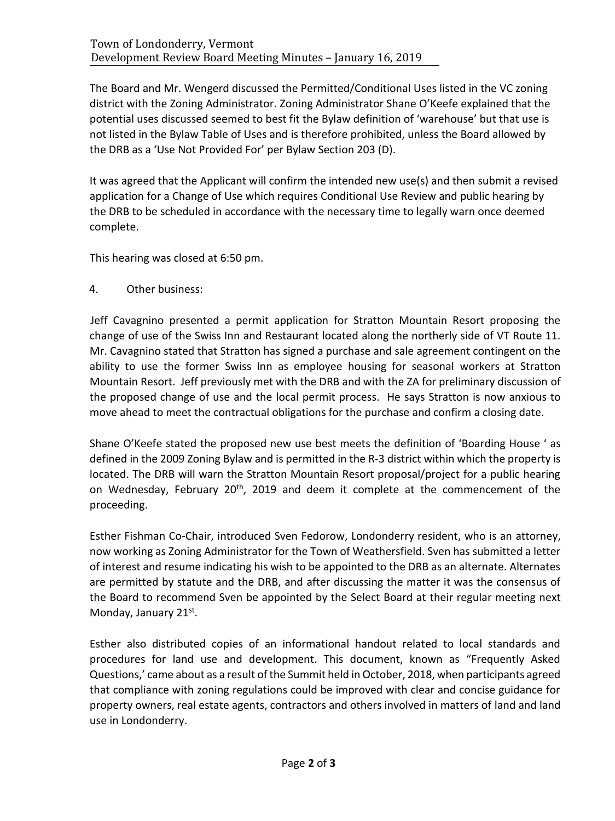The Board and Mr. Wengerd discussed the Permitted/Conditional Uses listed in the VC zoning district with the Zoning Administrator. Zoning Administrator Shane O'Keefe explained that the potential uses discussed seemed to best fit the Bylaw definition of 'warehouse' but that use is not listed in the Bylaw Table of Uses and is therefore prohibited, unless the Board allowed by the DRB as a 'Use Not Provided For' per Bylaw Section 203 (D).

It was agreed that the Applicant will confirm the intended new use(s) and then submit a revised application for a Change of Use which requires Conditional Use Review and public hearing by the DRB to be scheduled in accordance with the necessary time to legally warn once deemed complete.

This hearing was closed at 6:50 pm.

4. Other business:

Jeff Cavagnino presented a permit application for Stratton Mountain Resort proposing the change of use of the Swiss Inn and Restaurant located along the northerly side of VT Route 11. Mr. Cavagnino stated that Stratton has signed a purchase and sale agreement contingent on the ability to use the former Swiss Inn as employee housing for seasonal workers at Stratton Mountain Resort. Jeff previously met with the DRB and with the ZA for preliminary discussion of the proposed change of use and the local permit process. He says Stratton is now anxious to move ahead to meet the contractual obligations for the purchase and confirm a closing date.

Shane O'Keefe stated the proposed new use best meets the definition of 'Boarding House ' as defined in the 2009 Zoning Bylaw and is permitted in the R-3 district within which the property is located. The DRB will warn the Stratton Mountain Resort proposal/project for a public hearing on Wednesday, February 20<sup>th</sup>, 2019 and deem it complete at the commencement of the proceeding.

Esther Fishman Co-Chair, introduced Sven Fedorow, Londonderry resident, who is an attorney, now working as Zoning Administrator for the Town of Weathersfield. Sven has submitted a letter of interest and resume indicating his wish to be appointed to the DRB as an alternate. Alternates are permitted by statute and the DRB, and after discussing the matter it was the consensus of the Board to recommend Sven be appointed by the Select Board at their regular meeting next Monday, January 21st.

Esther also distributed copies of an informational handout related to local standards and procedures for land use and development. This document, known as "Frequently Asked Questions,' came about as a result of the Summit held in October, 2018, when participants agreed that compliance with zoning regulations could be improved with clear and concise guidance for property owners, real estate agents, contractors and others involved in matters of land and land use in Londonderry.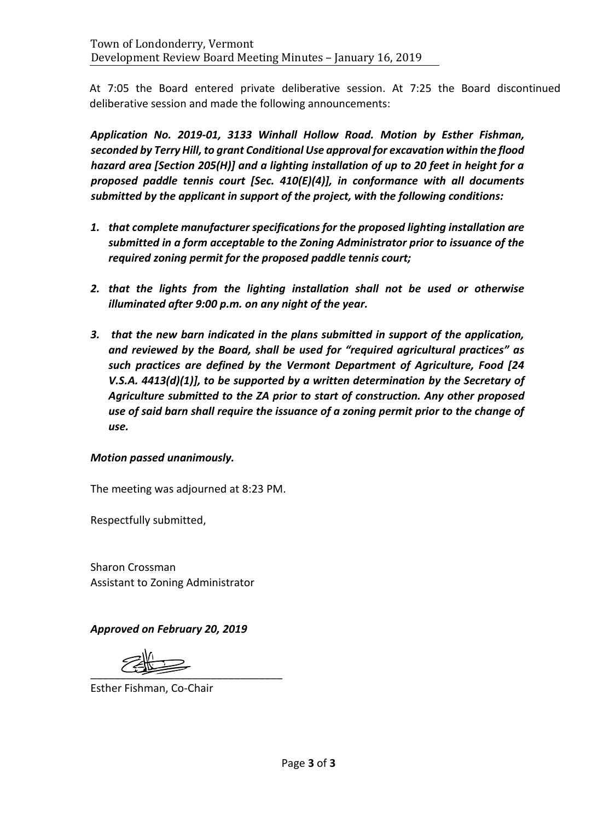At 7:05 the Board entered private deliberative session. At 7:25 the Board discontinued deliberative session and made the following announcements:

*Application No. 2019-01, 3133 Winhall Hollow Road. Motion by Esther Fishman, seconded by Terry Hill, to grant Conditional Use approval for excavation within the flood hazard area [Section 205(H)] and a lighting installation of up to 20 feet in height for a proposed paddle tennis court [Sec. 410(E)(4)], in conformance with all documents submitted by the applicant in support of the project, with the following conditions:* 

- *1. that complete manufacturer specifications for the proposed lighting installation are submitted in a form acceptable to the Zoning Administrator prior to issuance of the required zoning permit for the proposed paddle tennis court;*
- *2. that the lights from the lighting installation shall not be used or otherwise illuminated after 9:00 p.m. on any night of the year.*
- *3. that the new barn indicated in the plans submitted in support of the application, and reviewed by the Board, shall be used for "required agricultural practices" as such practices are defined by the Vermont Department of Agriculture, Food [24 V.S.A. 4413(d)(1)], to be supported by a written determination by the Secretary of Agriculture submitted to the ZA prior to start of construction. Any other proposed use of said barn shall require the issuance of a zoning permit prior to the change of use.*

### *Motion passed unanimously.*

The meeting was adjourned at 8:23 PM.

Respectfully submitted,

Sharon Crossman Assistant to Zoning Administrator

### *Approved on February 20, 2019*

 $\frac{1}{2}$ 

Esther Fishman, Co-Chair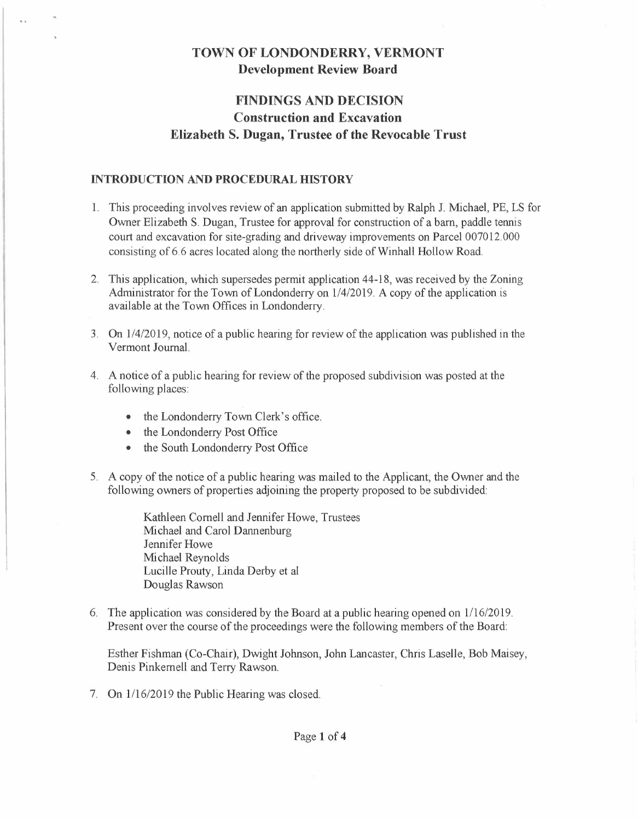### **TOWN OF LONDONDERRY, VERMONT Development Review Board**

# **FINDINGS AND DECISION Construction and Excavation Elizabeth S. Dugan, Trustee of the Revocable Trust**

#### **INTRODUCTION AND PROCEDURAL HISTORY**

- 1. This proceeding involves review of an application submitted by Ralph J. Michael, PE, LS for Owner Elizabeth S. Dugan, Trustee for approval for construction of a barn, paddle tennis court and excavation for site-grading and driveway improvements on Parcel 007012.000 consisting of 6. 6 acres located along the northerly side of Winhall Hollow Road.
- 2. This application, which supersedes permit application 44-18, was received by the Zoning Administrator for the Town of Londonderry on 1/4/2019. A copy of the application is available at the Town Offices in Londonderry.
- 3. On l /4/2019, notice of a public hearing for review of the application was published in the Vermont Journal.
- 4. A notice of a public hearing for review of the proposed subdivision was posted at the following places:
	- the Londonderry Town Clerk's office.
	- the Londonderry Post Office
	- the South Londonderry Post Office
- 5. A copy of the notice of a public hearing was mailed to the Applicant, the Owner and the following owners of properties adjoining the property proposed to be subdivided:

Kathleen Cornell and Jennifer Howe, Trustees Michael and Carol Dannenburg Jennifer Howe Michael Reynolds Lucille Prouty, Linda Derby et al Douglas Rawson

6. The application was considered by the Board at a public hearing opened on 1/16/2019. Present over the course of the proceedings were the following members of the Board:

Esther Fishman (Co-Chair), Dwight Johnson, John Lancaster, Chris Laselle, Bob Maisey, Denis Pinkemell and Terry Rawson.

7. On  $1/16/2019$  the Public Hearing was closed.

#### Page **1 of <sup>4</sup>**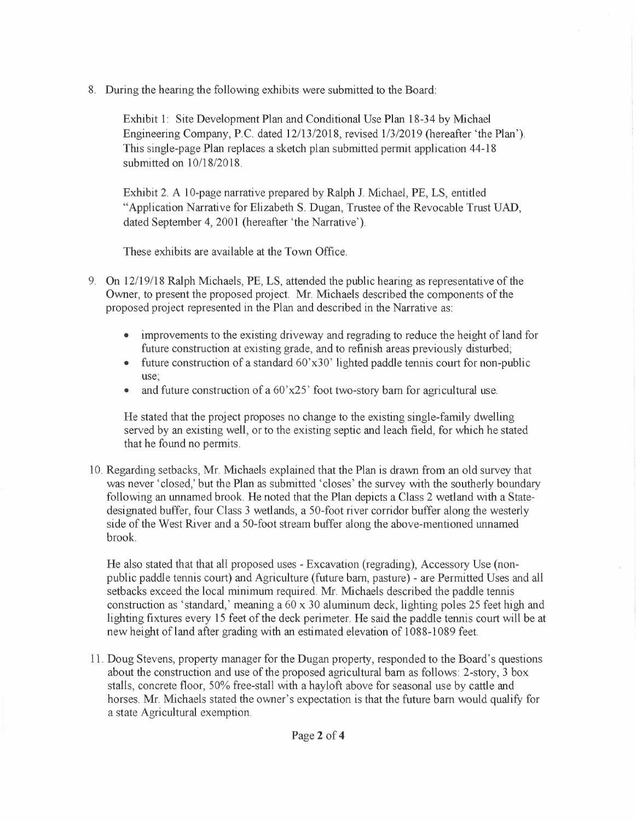8. During the hearing the following exhibits were submitted to the Board:

Exhibit 1: Site Development Plan and Conditional Use Plan 18-34 by Michael Engineering Company, P.C. dated 12/13/2018, revised 1/3/2019 (hereafter 'the Plan'). This single-page Plan replaces a sketch plan submitted permit application 44-18 submitted on 10/18/2018.

Exhibit 2. A 10-page narrative prepared by Ralph J. Michael, PE, LS, entitled "Application Narrative for Elizabeth S. Dugan, Trustee of the Revocable Trust UAD, dated September 4, 2001 (hereafter 'the Narrative').

These exhibits are available at the Town Office.

- 9. On 12/19/18 Ralph Michaels, PE, LS, attended the public hearing as representative of the Owner, to present the proposed project. Mr. Michaels described the components of the proposed project represented in the Plan and described in the Narrative as:
	- improvements to the existing driveway and regrading to reduce the height of land for future construction at existing grade, and to refinish areas previously disturbed;
	- future construction of a standard 60'x30' lighted paddle tennis court for non-public use;
	- and future construction of a  $60'x25'$  foot two-story barn for agricultural use.

He stated that the project proposes no change to the existing single-family dwelling served by an existing well, or to the existing septic and leach field, for which he stated that he found no permits.

10. Regarding setbacks, Mr. Michaels explained that the Plan is drawn from an old survey that was never 'closed,' but the Plan as submitted 'closes' the survey with the southerly boundary following an unnamed brook. He noted that the Plan depicts a Class 2 wetland with a Statedesignated buffer, four Class 3 wetlands, a SO-foot river corridor buffer along the westerly side of the West River and a SO-foot stream buffer along the above-mentioned unnamed brook.

He also stated that that all proposed uses - Excavation (regrading), Accessory Use (nonpublic paddle tennis court) and Agriculture (future barn, pasture) - are Permitted Uses and all setbacks exceed the local minimum required. Mr. Michaels described the paddle tennis construction as 'standard,' meaning a 60 x 30 aluminum deck, lighting poles 25 feet high and lighting fixtures every 15 feet of the deck perimeter. He said the paddle tennis court will be at new height of land after grading with an estimated elevation of 1088-1089 feet.

11. Doug Stevens, property manager for the Dugan property, responded to the Board's questions about the construction and use of the proposed agricultural barn as follows: 2-story, 3 box stalls, concrete floor, 50% free-stall with a hayloft above for seasonal use by cattle and horses. Mr. Michaels stated the owner's expectation is that the future barn would qualify for a state Agricultural exemption.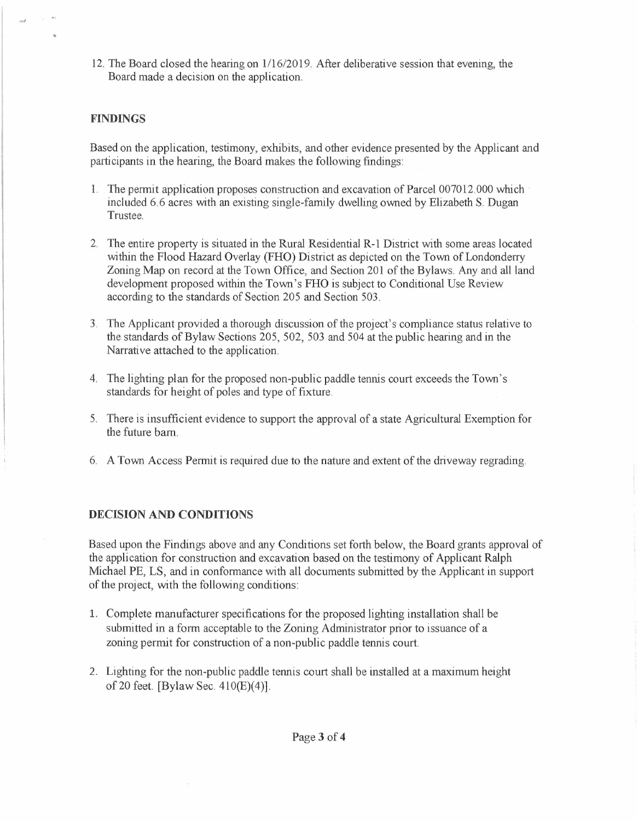12. The Board closed the hearing on 1/16/2019. After deliberative session that evening, the Board made a decision on the application.

#### **FINDINGS**

 $.1$ 

Based on the application, testimony, exhibits, and other evidence presented by the Applicant and participants in the hearing, the Board makes the following findings:

- 1. The permit application proposes construction and excavation of Parcel 007012.000 which included 6.6 acres with an existing single-family dwelling owned by Elizabeth S. Dugan Trustee.
- 2. The entire property is situated in the Rural Residential R-1 District with some areas located within the Flood Hazard Overlay (FHO) District as depicted on the Town of Londonderry Zoning Map on record at the Town Office, and Section 201 of the Bylaws. Any and all land development proposed within the Town's FHO is subject to Conditional Use Review according to the standards of Section 205 and Section 503.
- 3. The Applicant provided a thorough discussion of the project's compliance status relative to the standards of Bylaw Sections 205, 502, 503 and 504 at the public hearing and in the Narrative attached to the application.
- 4. The lighting plan for the proposed non-public paddle tennis court exceeds the Town's standards for height of poles and type of fixture.
- 5. There is insufficient evidence to support the approval of a state Agricultural Exemption for the future barn.
- 6. A Town Access Permit is required due to the nature and extent of the driveway regrading.

#### **DECISION AND CONDITIONS**

Based upon the Findings above and any Conditions set forth below, the Board grants approval of the application for construction and excavation based on the testimony of Applicant Ralph Michael PE, LS, and in conformance with all documents submitted by the Applicant in support of the project, with the following conditions:

- 1. Complete manufacturer specifications for the proposed lighting installation shall be submitted in a form acceptable to the Zoning Administrator prior to issuance of a zoning permit for construction of a non-public paddle tennis court.
- 2. Lighting for the non-public paddle tennis court shall be installed at a maximum height of 20 feet. [Bylaw Sec.  $410(E)(4)$ ].